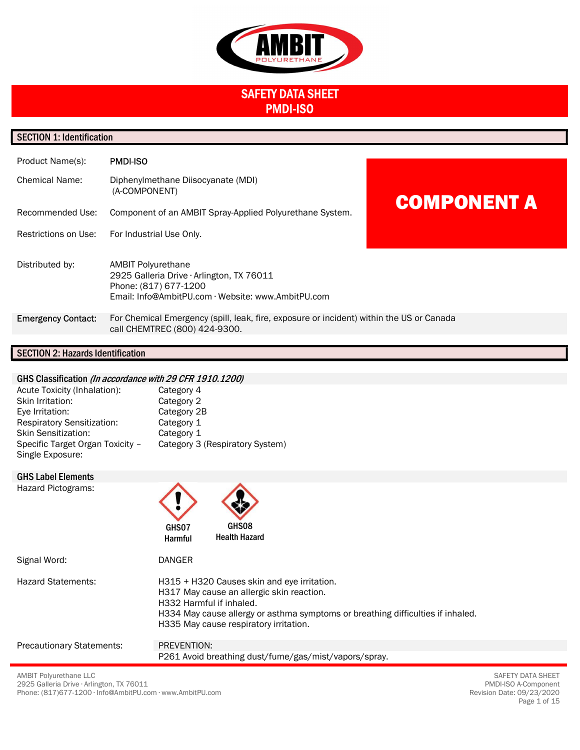

# SAFETY DATA SHEET PMDI-ISO

# SECTION 1: Identification

| Product Name(s):          | <b>PMDI-ISO</b>                                                                                                                                       |                    |
|---------------------------|-------------------------------------------------------------------------------------------------------------------------------------------------------|--------------------|
| <b>Chemical Name:</b>     | Diphenylmethane Diisocyanate (MDI)<br>(A-COMPONENT)                                                                                                   | <b>COMPONENT A</b> |
| Recommended Use:          | Component of an AMBIT Spray-Applied Polyurethane System.                                                                                              |                    |
| Restrictions on Use:      | For Industrial Use Only.                                                                                                                              |                    |
| Distributed by:           | <b>AMBIT Polyurethane</b><br>2925 Galleria Drive · Arlington, TX 76011<br>Phone: (817) 677-1200<br>Email: Info@AmbitPU.com · Website: www.AmbitPU.com |                    |
| <b>Emergency Contact:</b> | For Chemical Emergency (spill, leak, fire, exposure or incident) within the US or Canada<br>call CHEMTREC (800) 424-9300.                             |                    |
|                           |                                                                                                                                                       |                    |

# SECTION 2: Hazards Identification

# GHS Classification (In accordance with 29 CFR 1910.1200)

| Acute Toxicity (Inhalation):      | Category 4                      |
|-----------------------------------|---------------------------------|
| Skin Irritation:                  | Category 2                      |
| Eye Irritation:                   | Category 2B                     |
| <b>Respiratory Sensitization:</b> | Category 1                      |
| <b>Skin Sensitization:</b>        | Category 1                      |
| Specific Target Organ Toxicity -  | Category 3 (Respiratory System) |
| Single Exposure:                  |                                 |

Ä

A

GHS Label Elements

Hazard Pictograms:

| Hazard Pictograms:               | GHS08<br>GHS07<br><b>Health Hazard</b><br><b>Harmful</b>                                                                                                                                                                                          |
|----------------------------------|---------------------------------------------------------------------------------------------------------------------------------------------------------------------------------------------------------------------------------------------------|
| Signal Word:                     | <b>DANGER</b>                                                                                                                                                                                                                                     |
| <b>Hazard Statements:</b>        | H315 + H320 Causes skin and eye irritation.<br>H317 May cause an allergic skin reaction.<br>H332 Harmful if inhaled.<br>H334 May cause allergy or asthma symptoms or breathing difficulties if inhaled.<br>H335 May cause respiratory irritation. |
| <b>Precautionary Statements:</b> | PREVENTION:                                                                                                                                                                                                                                       |
|                                  | P261 Avoid breathing dust/fume/gas/mist/vapors/spray.                                                                                                                                                                                             |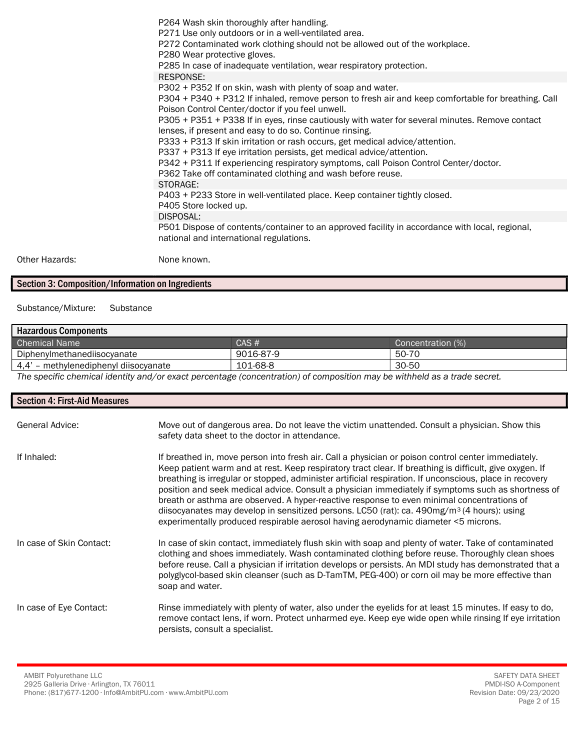P264 Wash skin thoroughly after handling. P271 Use only outdoors or in a well-ventilated area. P272 Contaminated work clothing should not be allowed out of the workplace. P280 Wear protective gloves. P285 In case of inadequate ventilation, wear respiratory protection. RESPONSE: P302 + P352 If on skin, wash with plenty of soap and water. P304 + P340 + P312 If inhaled, remove person to fresh air and keep comfortable for breathing. Call Poison Control Center/doctor if you feel unwell. P305 + P351 + P338 If in eyes, rinse cautiously with water for several minutes. Remove contact lenses, if present and easy to do so. Continue rinsing. P333 + P313 If skin irritation or rash occurs, get medical advice/attention. P337 + P313 If eye irritation persists, get medical advice/attention. P342 + P311 If experiencing respiratory symptoms, call Poison Control Center/doctor. P362 Take off contaminated clothing and wash before reuse. STORAGE: P403 + P233 Store in well-ventilated place. Keep container tightly closed. P405 Store locked up. DISPOSAL: P501 Dispose of contents/container to an approved facility in accordance with local, regional, national and international regulations.

Other Hazards: None known.

# Section 3: Composition/Information on Ingredients

Substance/Mixture: Substance

| <b>Hazardous Components</b>           |           |                   |
|---------------------------------------|-----------|-------------------|
| <b>Chemical Name</b>                  | CAS#      | Concentration (%) |
| Diphenylmethanediisocyanate           | 9016-87-9 | 50-70             |
| 4,4' - methylenediphenyl diisocyanate | 101-68-8  | 30-50             |
| $\overline{\phantom{a}}$<br>$-1$<br>. | $\cdots$  | .                 |

The specific chemical identity and/or exact percentage (concentration) of composition may be withheld as a trade secret.

| <b>Section 4: First-Aid Measures</b> |                                                                                                                                                                                                                                                                                                                                                                                                                                                                                                                                                                                                                                                                                                                                 |
|--------------------------------------|---------------------------------------------------------------------------------------------------------------------------------------------------------------------------------------------------------------------------------------------------------------------------------------------------------------------------------------------------------------------------------------------------------------------------------------------------------------------------------------------------------------------------------------------------------------------------------------------------------------------------------------------------------------------------------------------------------------------------------|
| <b>General Advice:</b>               | Move out of dangerous area. Do not leave the victim unattended. Consult a physician. Show this<br>safety data sheet to the doctor in attendance.                                                                                                                                                                                                                                                                                                                                                                                                                                                                                                                                                                                |
| If Inhaled:                          | If breathed in, move person into fresh air. Call a physician or poison control center immediately.<br>Keep patient warm and at rest. Keep respiratory tract clear. If breathing is difficult, give oxygen. If<br>breathing is irregular or stopped, administer artificial respiration. If unconscious, place in recovery<br>position and seek medical advice. Consult a physician immediately if symptoms such as shortness of<br>breath or asthma are observed. A hyper-reactive response to even minimal concentrations of<br>diisocyanates may develop in sensitized persons. LC50 (rat): ca. $490$ mg/m <sup>3</sup> (4 hours): using<br>experimentally produced respirable aerosol having aerodynamic diameter <5 microns. |
| In case of Skin Contact:             | In case of skin contact, immediately flush skin with soap and plenty of water. Take of contaminated<br>clothing and shoes immediately. Wash contaminated clothing before reuse. Thoroughly clean shoes<br>before reuse. Call a physician if irritation develops or persists. An MDI study has demonstrated that a<br>polyglycol-based skin cleanser (such as D-TamTM, PEG-400) or corn oil may be more effective than<br>soap and water.                                                                                                                                                                                                                                                                                        |
| In case of Eye Contact:              | Rinse immediately with plenty of water, also under the eyelids for at least 15 minutes. If easy to do,<br>remove contact lens, if worn. Protect unharmed eye. Keep eye wide open while rinsing If eye irritation<br>persists, consult a specialist.                                                                                                                                                                                                                                                                                                                                                                                                                                                                             |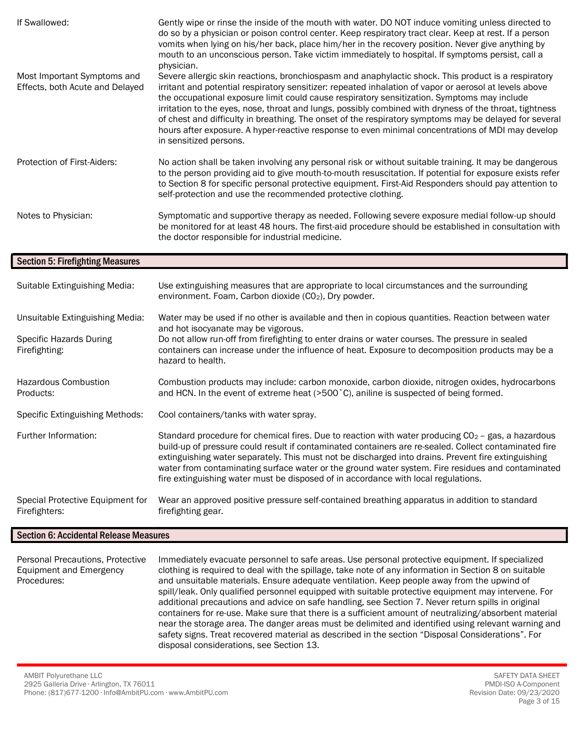| If Swallowed:                                                  | Gently wipe or rinse the inside of the mouth with water. DO NOT induce vomiting unless directed to<br>do so by a physician or poison control center. Keep respiratory tract clear. Keep at rest. If a person<br>vomits when lying on his/her back, place him/her in the recovery position. Never give anything by<br>mouth to an unconscious person. Take victim immediately to hospital. If symptoms persist, call a<br>physician.                                                                                                                                                                                                                              |
|----------------------------------------------------------------|------------------------------------------------------------------------------------------------------------------------------------------------------------------------------------------------------------------------------------------------------------------------------------------------------------------------------------------------------------------------------------------------------------------------------------------------------------------------------------------------------------------------------------------------------------------------------------------------------------------------------------------------------------------|
| Most Important Symptoms and<br>Effects, both Acute and Delayed | Severe allergic skin reactions, bronchiospasm and anaphylactic shock. This product is a respiratory<br>irritant and potential respiratory sensitizer: repeated inhalation of vapor or aerosol at levels above<br>the occupational exposure limit could cause respiratory sensitization. Symptoms may include<br>irritation to the eyes, nose, throat and lungs, possibly combined with dryness of the throat, tightness<br>of chest and difficulty in breathing. The onset of the respiratory symptoms may be delayed for several<br>hours after exposure. A hyper-reactive response to even minimal concentrations of MDI may develop<br>in sensitized persons. |
| Protection of First-Aiders:                                    | No action shall be taken involving any personal risk or without suitable training. It may be dangerous<br>to the person providing aid to give mouth-to-mouth resuscitation. If potential for exposure exists refer<br>to Section 8 for specific personal protective equipment. First-Aid Responders should pay attention to<br>self-protection and use the recommended protective clothing.                                                                                                                                                                                                                                                                      |
| Notes to Physician:                                            | Symptomatic and supportive therapy as needed. Following severe exposure medial follow-up should<br>be monitored for at least 48 hours. The first-aid procedure should be established in consultation with<br>the doctor responsible for industrial medicine.                                                                                                                                                                                                                                                                                                                                                                                                     |

# Section 5: Firefighting Measures

| Suitable Extinguishing Media:                                               | Use extinguishing measures that are appropriate to local circumstances and the surrounding<br>environment. Foam, Carbon dioxide (CO <sub>2</sub> ), Dry powder.                                                                                                                                                                                                                                                                                                                                                 |
|-----------------------------------------------------------------------------|-----------------------------------------------------------------------------------------------------------------------------------------------------------------------------------------------------------------------------------------------------------------------------------------------------------------------------------------------------------------------------------------------------------------------------------------------------------------------------------------------------------------|
| Unsuitable Extinguishing Media:<br>Specific Hazards During<br>Firefighting: | Water may be used if no other is available and then in copious quantities. Reaction between water<br>and hot isocyanate may be vigorous.<br>Do not allow run-off from firefighting to enter drains or water courses. The pressure in sealed<br>containers can increase under the influence of heat. Exposure to decomposition products may be a<br>hazard to health.                                                                                                                                            |
| <b>Hazardous Combustion</b><br>Products:                                    | Combustion products may include: carbon monoxide, carbon dioxide, nitrogen oxides, hydrocarbons<br>and HCN. In the event of extreme heat (>500 °C), aniline is suspected of being formed.                                                                                                                                                                                                                                                                                                                       |
| <b>Specific Extinguishing Methods:</b>                                      | Cool containers/tanks with water spray.                                                                                                                                                                                                                                                                                                                                                                                                                                                                         |
| Further Information:                                                        | Standard procedure for chemical fires. Due to reaction with water producing $CO2$ – gas, a hazardous<br>build-up of pressure could result if contaminated containers are re-sealed. Collect contaminated fire<br>extinguishing water separately. This must not be discharged into drains. Prevent fire extinguishing<br>water from contaminating surface water or the ground water system. Fire residues and contaminated<br>fire extinguishing water must be disposed of in accordance with local regulations. |
| Special Protective Equipment for<br>Firefighters:                           | Wear an approved positive pressure self-contained breathing apparatus in addition to standard<br>firefighting gear.                                                                                                                                                                                                                                                                                                                                                                                             |

# Section 6: Accidental Release Measures

| Personal Precautions, Protective | Immediately evacuate personnel to safe areas. Use personal protective equipment. If specialized       |
|----------------------------------|-------------------------------------------------------------------------------------------------------|
| Equipment and Emergency          | clothing is required to deal with the spillage, take note of any information in Section 8 on suitable |
| Procedures:                      | and unsuitable materials. Ensure adequate ventilation. Keep people away from the upwind of            |
|                                  | spill/leak. Only qualified personnel equipped with suitable protective equipment may intervene. For   |
|                                  | additional precautions and advice on safe handling, see Section 7. Never return spills in original    |
|                                  | containers for re-use. Make sure that there is a sufficient amount of neutralizing/absorbent material |
|                                  | near the storage area. The danger areas must be delimited and identified using relevant warning and   |
|                                  | safety signs. Treat recovered material as described in the section "Disposal Considerations". For     |
|                                  | disposal considerations, see Section 13.                                                              |

AMBIT Polyurethane LLC 2925 Galleria Drive ∙ Arlington, TX 76011 Phone: (817)677-1200 ∙ Info@AmbitPU.com ∙ www.AmbitPU.com

SAFETY DATA SHEET PMDI-ISO A-Component Revision Date: 09/23/2020 Page 3 of 15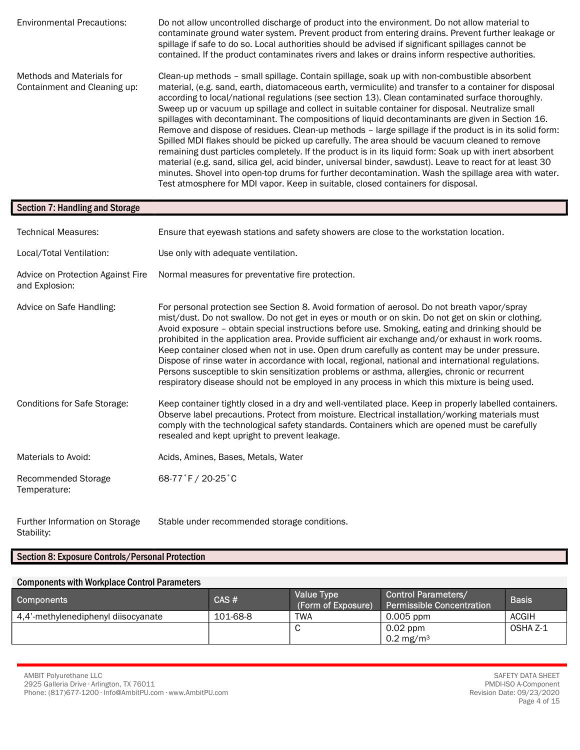Environmental Precautions: Do not allow uncontrolled discharge of product into the environment. Do not allow material to contaminate ground water system. Prevent product from entering drains. Prevent further leakage or spillage if safe to do so. Local authorities should be advised if significant spillages cannot be contained. If the product contaminates rivers and lakes or drains inform respective authorities. Methods and Materials for Containment and Cleaning up: Clean-up methods – small spillage. Contain spillage, soak up with non-combustible absorbent material, (e.g. sand, earth, diatomaceous earth, vermiculite) and transfer to a container for disposal according to local/national regulations (see section 13). Clean contaminated surface thoroughly. Sweep up or vacuum up spillage and collect in suitable container for disposal. Neutralize small spillages with decontaminant. The compositions of liquid decontaminants are given in Section 16. Remove and dispose of residues. Clean-up methods – large spillage if the product is in its solid form: Spilled MDI flakes should be picked up carefully. The area should be vacuum cleaned to remove remaining dust particles completely. If the product is in its liquid form: Soak up with inert absorbent material (e.g. sand, silica gel, acid binder, universal binder, sawdust). Leave to react for at least 30 minutes. Shovel into open-top drums for further decontamination. Wash the spillage area with water. Test atmosphere for MDI vapor. Keep in suitable, closed containers for disposal.

| <b>Section 7: Handling and Storage</b>              |                                                                                                                                                                                                                                                                                                                                                                                                                                                                                                                                                                                                                                                                                                                                                                                                                     |
|-----------------------------------------------------|---------------------------------------------------------------------------------------------------------------------------------------------------------------------------------------------------------------------------------------------------------------------------------------------------------------------------------------------------------------------------------------------------------------------------------------------------------------------------------------------------------------------------------------------------------------------------------------------------------------------------------------------------------------------------------------------------------------------------------------------------------------------------------------------------------------------|
| <b>Technical Measures:</b>                          | Ensure that eyewash stations and safety showers are close to the workstation location.                                                                                                                                                                                                                                                                                                                                                                                                                                                                                                                                                                                                                                                                                                                              |
| Local/Total Ventilation:                            | Use only with adequate ventilation.                                                                                                                                                                                                                                                                                                                                                                                                                                                                                                                                                                                                                                                                                                                                                                                 |
| Advice on Protection Against Fire<br>and Explosion: | Normal measures for preventative fire protection.                                                                                                                                                                                                                                                                                                                                                                                                                                                                                                                                                                                                                                                                                                                                                                   |
| Advice on Safe Handling:                            | For personal protection see Section 8. Avoid formation of aerosol. Do not breath vapor/spray<br>mist/dust. Do not swallow. Do not get in eyes or mouth or on skin. Do not get on skin or clothing.<br>Avoid exposure - obtain special instructions before use. Smoking, eating and drinking should be<br>prohibited in the application area. Provide sufficient air exchange and/or exhaust in work rooms.<br>Keep container closed when not in use. Open drum carefully as content may be under pressure.<br>Dispose of rinse water in accordance with local, regional, national and international regulations.<br>Persons susceptible to skin sensitization problems or asthma, allergies, chronic or recurrent<br>respiratory disease should not be employed in any process in which this mixture is being used. |
| <b>Conditions for Safe Storage:</b>                 | Keep container tightly closed in a dry and well-ventilated place. Keep in properly labelled containers.<br>Observe label precautions. Protect from moisture. Electrical installation/working materials must<br>comply with the technological safety standards. Containers which are opened must be carefully<br>resealed and kept upright to prevent leakage.                                                                                                                                                                                                                                                                                                                                                                                                                                                       |
| Materials to Avoid:                                 | Acids, Amines, Bases, Metals, Water                                                                                                                                                                                                                                                                                                                                                                                                                                                                                                                                                                                                                                                                                                                                                                                 |
| Recommended Storage<br>Temperature:                 | 68-77°F / 20-25°C                                                                                                                                                                                                                                                                                                                                                                                                                                                                                                                                                                                                                                                                                                                                                                                                   |

Further Information on Storage Stability: Stable under recommended storage conditions.

# Section 8: Exposure Controls/Personal Protection

# Components with Workplace Control Parameters

| <b>Components</b>                   | CAS#     | <b>Value Type</b><br>(Form of Exposure) | <b>Control Parameters/</b><br><b>Permissible Concentration</b> | <b>Basis</b> |
|-------------------------------------|----------|-----------------------------------------|----------------------------------------------------------------|--------------|
| 4.4'-methylenediphenyl diisocyanate | 101-68-8 | TWA                                     | 0.005 ppm                                                      | <b>ACGIH</b> |
|                                     |          |                                         | $0.02$ ppm                                                     | OSHA Z-1     |
|                                     |          |                                         | 0.2 mg/m <sup>3</sup>                                          |              |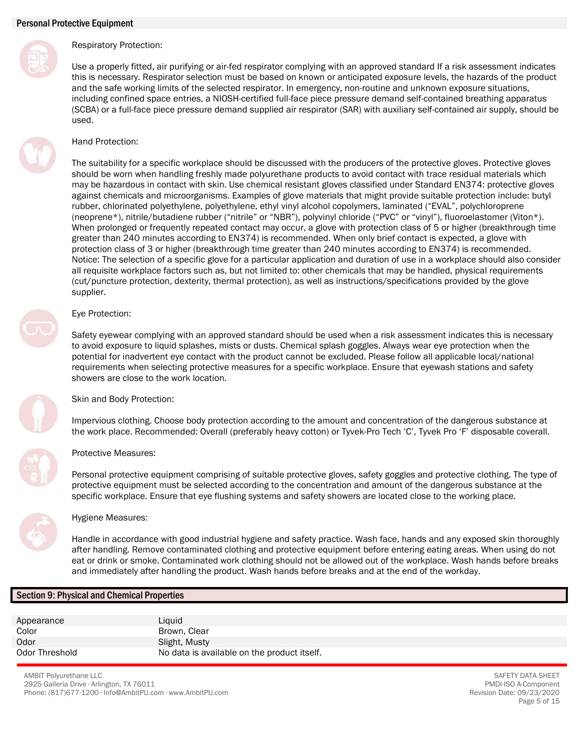

# Respiratory Protection:

Use a properly fitted, air purifying or air-fed respirator complying with an approved standard If a risk assessment indicates this is necessary. Respirator selection must be based on known or anticipated exposure levels, the hazards of the product and the safe working limits of the selected respirator. In emergency, non-routine and unknown exposure situations, including confined space entries, a NIOSH-certified full-face piece pressure demand self-contained breathing apparatus (SCBA) or a full-face piece pressure demand supplied air respirator (SAR) with auxiliary self-contained air supply, should be used.

# Hand Protection:

The suitability for a specific workplace should be discussed with the producers of the protective gloves. Protective gloves should be worn when handling freshly made polyurethane products to avoid contact with trace residual materials which may be hazardous in contact with skin. Use chemical resistant gloves classified under Standard EN374: protective gloves against chemicals and microorganisms. Examples of glove materials that might provide suitable protection include: butyl rubber, chlorinated polyethylene, polyethylene, ethyl vinyl alcohol copolymers, laminated ("EVAL", polychloroprene (neoprene\*), nitrile/butadiene rubber ("nitrile" or "NBR"), polyvinyl chloride ("PVC" or "vinyl"), fluoroelastomer (Viton\*). When prolonged or frequently repeated contact may occur, a glove with protection class of 5 or higher (breakthrough time greater than 240 minutes according to EN374) is recommended. When only brief contact is expected, a glove with protection class of 3 or higher (breakthrough time greater than 240 minutes according to EN374) is recommended. Notice: The selection of a specific glove for a particular application and duration of use in a workplace should also consider all requisite workplace factors such as, but not limited to: other chemicals that may be handled, physical requirements (cut/puncture protection, dexterity, thermal protection), as well as instructions/specifications provided by the glove supplier.

# Eye Protection:

Safety eyewear complying with an approved standard should be used when a risk assessment indicates this is necessary to avoid exposure to liquid splashes, mists or dusts. Chemical splash goggles. Always wear eye protection when the potential for inadvertent eye contact with the product cannot be excluded. Please follow all applicable local/national requirements when selecting protective measures for a specific workplace. Ensure that eyewash stations and safety showers are close to the work location.



Skin and Body Protection:

Impervious clothing. Choose body protection according to the amount and concentration of the dangerous substance at the work place. Recommended: Overall (preferably heavy cotton) or Tyvek-Pro Tech 'C', Tyvek Pro 'F' disposable coverall.

# Protective Measures:

Personal protective equipment comprising of suitable protective gloves, safety goggles and protective clothing. The type of protective equipment must be selected according to the concentration and amount of the dangerous substance at the specific workplace. Ensure that eye flushing systems and safety showers are located close to the working place.



# Hygiene Measures:

Handle in accordance with good industrial hygiene and safety practice. Wash face, hands and any exposed skin thoroughly after handling. Remove contaminated clothing and protective equipment before entering eating areas. When using do not eat or drink or smoke. Contaminated work clothing should not be allowed out of the workplace. Wash hands before breaks and immediately after handling the product. Wash hands before breaks and at the end of the workday.

# Section 9: Physical and Chemical Properties

Appearance Liquid Color **Brown, Clear** Odor Slight, Musty Odor Threshold **No data is available on the product itself.** 

AMBIT Polyurethane LLC 2925 Galleria Drive ∙ Arlington, TX 76011 Phone: (817)677-1200 ∙ Info@AmbitPU.com ∙ www.AmbitPU.com

SAFETY DATA SHEET PMDI-ISO A-Component Revision Date: 09/23/2020 Page 5 of 15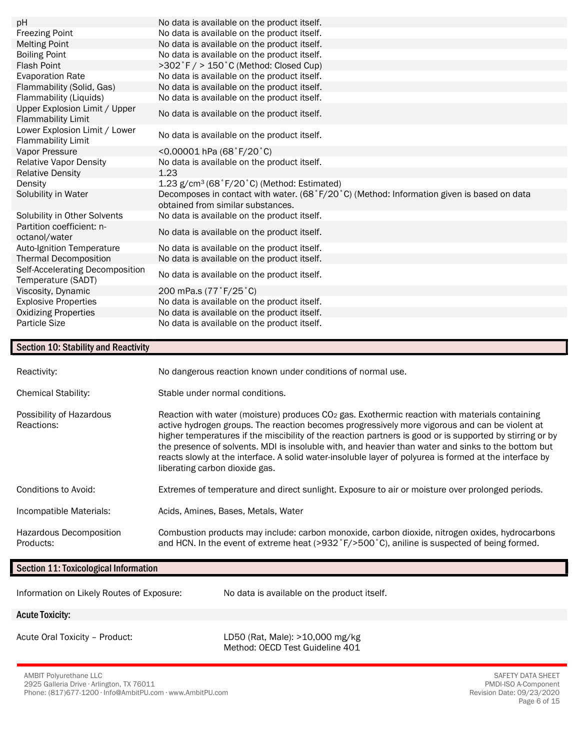| pH                                                         | No data is available on the product itself.                                                                                    |
|------------------------------------------------------------|--------------------------------------------------------------------------------------------------------------------------------|
| <b>Freezing Point</b>                                      | No data is available on the product itself.                                                                                    |
| <b>Melting Point</b>                                       | No data is available on the product itself.                                                                                    |
| <b>Boiling Point</b>                                       | No data is available on the product itself.                                                                                    |
| <b>Flash Point</b>                                         | >302°F / > 150°C (Method: Closed Cup)                                                                                          |
| <b>Evaporation Rate</b>                                    | No data is available on the product itself.                                                                                    |
| Flammability (Solid, Gas)                                  | No data is available on the product itself.                                                                                    |
| Flammability (Liquids)                                     | No data is available on the product itself.                                                                                    |
| Upper Explosion Limit / Upper<br><b>Flammability Limit</b> | No data is available on the product itself.                                                                                    |
| Lower Explosion Limit / Lower<br><b>Flammability Limit</b> | No data is available on the product itself.                                                                                    |
| Vapor Pressure                                             | <0.00001 hPa $(68 \degree F/20 \degree C)$                                                                                     |
| <b>Relative Vapor Density</b>                              | No data is available on the product itself.                                                                                    |
| <b>Relative Density</b>                                    | 1.23                                                                                                                           |
| Density                                                    | 1.23 g/cm <sup>3</sup> (68°F/20°C) (Method: Estimated)                                                                         |
| Solubility in Water                                        | Decomposes in contact with water. (68°F/20°C) (Method: Information given is based on data<br>obtained from similar substances. |
| Solubility in Other Solvents                               | No data is available on the product itself.                                                                                    |
| Partition coefficient: n-<br>octanol/water                 | No data is available on the product itself.                                                                                    |
| Auto-Ignition Temperature                                  | No data is available on the product itself.                                                                                    |
| <b>Thermal Decomposition</b>                               | No data is available on the product itself.                                                                                    |
| Self-Accelerating Decomposition<br>Temperature (SADT)      | No data is available on the product itself.                                                                                    |
| Viscosity, Dynamic                                         | 200 mPa.s (77°F/25°C)                                                                                                          |
| <b>Explosive Properties</b>                                | No data is available on the product itself.                                                                                    |
| <b>Oxidizing Properties</b>                                | No data is available on the product itself.                                                                                    |
| <b>Particle Size</b>                                       | No data is available on the product itself.                                                                                    |

# Section 10: Stability and Reactivity

| Reactivity:                            | No dangerous reaction known under conditions of normal use.                                                                                                                                                                                                                                                                                                                                                                                                                                                                                                         |
|----------------------------------------|---------------------------------------------------------------------------------------------------------------------------------------------------------------------------------------------------------------------------------------------------------------------------------------------------------------------------------------------------------------------------------------------------------------------------------------------------------------------------------------------------------------------------------------------------------------------|
| <b>Chemical Stability:</b>             | Stable under normal conditions.                                                                                                                                                                                                                                                                                                                                                                                                                                                                                                                                     |
| Possibility of Hazardous<br>Reactions: | Reaction with water (moisture) produces $CO2$ gas. Exothermic reaction with materials containing<br>active hydrogen groups. The reaction becomes progressively more vigorous and can be violent at<br>higher temperatures if the miscibility of the reaction partners is good or is supported by stirring or by<br>the presence of solvents. MDI is insoluble with, and heavier than water and sinks to the bottom but<br>reacts slowly at the interface. A solid water-insoluble layer of polyurea is formed at the interface by<br>liberating carbon dioxide gas. |
| Conditions to Avoid:                   | Extremes of temperature and direct sunlight. Exposure to air or moisture over prolonged periods.                                                                                                                                                                                                                                                                                                                                                                                                                                                                    |
| Incompatible Materials:                | Acids, Amines, Bases, Metals, Water                                                                                                                                                                                                                                                                                                                                                                                                                                                                                                                                 |
| Hazardous Decomposition<br>Products:   | Combustion products may include: carbon monoxide, carbon dioxide, nitrogen oxides, hydrocarbons<br>and HCN. In the event of extreme heat (>932 °F/>500 °C), aniline is suspected of being formed.                                                                                                                                                                                                                                                                                                                                                                   |

# Section 11: Toxicological Information

| Section 11. TOXICOIOGICAL INTOITIATION    |                                                                    |  |
|-------------------------------------------|--------------------------------------------------------------------|--|
| Information on Likely Routes of Exposure: | No data is available on the product itself.                        |  |
| <b>Acute Toxicity:</b>                    |                                                                    |  |
| Acute Oral Toxicity - Product:            | LD50 (Rat, Male): >10,000 mg/kg<br>Method: OECD Test Guideline 401 |  |

AMBIT Polyurethane LLC 2925 Galleria Drive ∙ Arlington, TX 76011 Phone: (817)677-1200 ∙ Info@AmbitPU.com ∙ www.AmbitPU.com

SAFETY DATA SHEET PMDI-ISO A-Component Revision Date: 09/23/2020 Page 6 of 15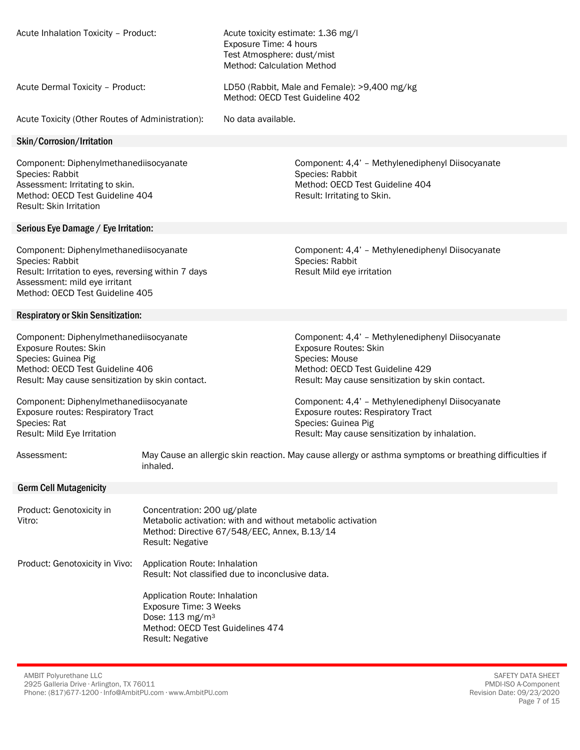| Acute Inhalation Toxicity - Product:                                                                                                                                                                                                                                 |                                                                                                                                                                       | Exposure Time: 4 hours<br>Test Atmosphere: dust/mist<br>Method: Calculation Method | Acute toxicity estimate: 1.36 mg/l                                                                                                                                                                                                                                                  |
|----------------------------------------------------------------------------------------------------------------------------------------------------------------------------------------------------------------------------------------------------------------------|-----------------------------------------------------------------------------------------------------------------------------------------------------------------------|------------------------------------------------------------------------------------|-------------------------------------------------------------------------------------------------------------------------------------------------------------------------------------------------------------------------------------------------------------------------------------|
| Acute Dermal Toxicity - Product:                                                                                                                                                                                                                                     |                                                                                                                                                                       |                                                                                    | LD50 (Rabbit, Male and Female): >9,400 mg/kg<br>Method: OECD Test Guideline 402                                                                                                                                                                                                     |
| Acute Toxicity (Other Routes of Administration):                                                                                                                                                                                                                     |                                                                                                                                                                       | No data available.                                                                 |                                                                                                                                                                                                                                                                                     |
| Skin/Corrosion/Irritation                                                                                                                                                                                                                                            |                                                                                                                                                                       |                                                                                    |                                                                                                                                                                                                                                                                                     |
| Component: Diphenylmethanediisocyanate<br>Species: Rabbit<br>Assessment: Irritating to skin.<br>Method: OECD Test Guideline 404<br>Result: Skin Irritation                                                                                                           |                                                                                                                                                                       |                                                                                    | Component: 4,4' - Methylenediphenyl Diisocyanate<br>Species: Rabbit<br>Method: OECD Test Guideline 404<br>Result: Irritating to Skin.                                                                                                                                               |
| Serious Eye Damage / Eye Irritation:                                                                                                                                                                                                                                 |                                                                                                                                                                       |                                                                                    |                                                                                                                                                                                                                                                                                     |
| Component: Diphenylmethanediisocyanate<br>Species: Rabbit<br>Result: Irritation to eyes, reversing within 7 days<br>Assessment: mild eye irritant<br>Method: OECD Test Guideline 405                                                                                 |                                                                                                                                                                       |                                                                                    | Component: 4,4' - Methylenediphenyl Diisocyanate<br>Species: Rabbit<br>Result Mild eye irritation                                                                                                                                                                                   |
| <b>Respiratory or Skin Sensitization:</b>                                                                                                                                                                                                                            |                                                                                                                                                                       |                                                                                    |                                                                                                                                                                                                                                                                                     |
| Component: Diphenylmethanediisocyanate<br><b>Exposure Routes: Skin</b><br>Species: Guinea Pig<br>Method: OECD Test Guideline 406<br>Result: May cause sensitization by skin contact.<br>Component: Diphenylmethanediisocyanate<br>Exposure routes: Respiratory Tract |                                                                                                                                                                       |                                                                                    | Component: 4,4' - Methylenediphenyl Diisocyanate<br><b>Exposure Routes: Skin</b><br>Species: Mouse<br>Method: OECD Test Guideline 429<br>Result: May cause sensitization by skin contact.<br>Component: 4,4' - Methylenediphenyl Diisocyanate<br>Exposure routes: Respiratory Tract |
| Species: Rat<br>Result: Mild Eye Irritation                                                                                                                                                                                                                          |                                                                                                                                                                       |                                                                                    | Species: Guinea Pig<br>Result: May cause sensitization by inhalation.                                                                                                                                                                                                               |
| Assessment:                                                                                                                                                                                                                                                          | inhaled.                                                                                                                                                              |                                                                                    | May Cause an allergic skin reaction. May cause allergy or asthma symptoms or breathing difficulties if                                                                                                                                                                              |
| <b>Germ Cell Mutagenicity</b>                                                                                                                                                                                                                                        |                                                                                                                                                                       |                                                                                    |                                                                                                                                                                                                                                                                                     |
| Product: Genotoxicity in<br>Vitro:                                                                                                                                                                                                                                   | Concentration: 200 ug/plate<br>Metabolic activation: with and without metabolic activation<br>Method: Directive 67/548/EEC, Annex, B.13/14<br><b>Result: Negative</b> |                                                                                    |                                                                                                                                                                                                                                                                                     |
| Product: Genotoxicity in Vivo:                                                                                                                                                                                                                                       | Application Route: Inhalation<br>Result: Not classified due to inconclusive data.                                                                                     |                                                                                    |                                                                                                                                                                                                                                                                                     |
|                                                                                                                                                                                                                                                                      | Application Route: Inhalation<br>Exposure Time: 3 Weeks<br>Dose: 113 mg/m <sup>3</sup><br>Method: OECD Test Guidelines 474<br><b>Result: Negative</b>                 |                                                                                    |                                                                                                                                                                                                                                                                                     |

AMBIT Polyurethane LLC 2925 Galleria Drive ∙ Arlington, TX 76011 Phone: (817)677-1200 ∙ Info@AmbitPU.com ∙ www.AmbitPU.com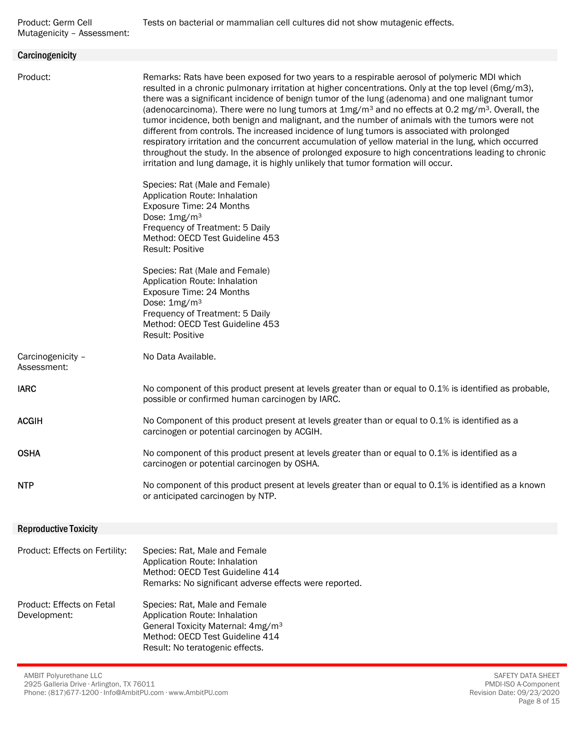| Carcinogenicity                           |                                                                                                                                                                                                                                                                                                                                                                                                                                                                                                                                                                                                                                                                                                                                                                                                                                                                                                                                    |
|-------------------------------------------|------------------------------------------------------------------------------------------------------------------------------------------------------------------------------------------------------------------------------------------------------------------------------------------------------------------------------------------------------------------------------------------------------------------------------------------------------------------------------------------------------------------------------------------------------------------------------------------------------------------------------------------------------------------------------------------------------------------------------------------------------------------------------------------------------------------------------------------------------------------------------------------------------------------------------------|
| Product:                                  | Remarks: Rats have been exposed for two years to a respirable aerosol of polymeric MDI which<br>resulted in a chronic pulmonary irritation at higher concentrations. Only at the top level (6mg/m3),<br>there was a significant incidence of benign tumor of the lung (adenoma) and one malignant tumor<br>(adenocarcinoma). There were no lung tumors at $1mg/m3$ and no effects at 0.2 mg/m <sup>3</sup> . Overall, the<br>tumor incidence, both benign and malignant, and the number of animals with the tumors were not<br>different from controls. The increased incidence of lung tumors is associated with prolonged<br>respiratory irritation and the concurrent accumulation of yellow material in the lung, which occurred<br>throughout the study. In the absence of prolonged exposure to high concentrations leading to chronic<br>irritation and lung damage, it is highly unlikely that tumor formation will occur. |
|                                           | Species: Rat (Male and Female)<br>Application Route: Inhalation<br>Exposure Time: 24 Months<br>Dose: 1mg/m <sup>3</sup><br>Frequency of Treatment: 5 Daily<br>Method: OECD Test Guideline 453<br><b>Result: Positive</b>                                                                                                                                                                                                                                                                                                                                                                                                                                                                                                                                                                                                                                                                                                           |
|                                           | Species: Rat (Male and Female)<br>Application Route: Inhalation<br>Exposure Time: 24 Months<br>Dose: 1mg/m <sup>3</sup><br>Frequency of Treatment: 5 Daily<br>Method: OECD Test Guideline 453<br><b>Result: Positive</b>                                                                                                                                                                                                                                                                                                                                                                                                                                                                                                                                                                                                                                                                                                           |
| Carcinogenicity -<br>Assessment:          | No Data Available.                                                                                                                                                                                                                                                                                                                                                                                                                                                                                                                                                                                                                                                                                                                                                                                                                                                                                                                 |
| <b>IARC</b>                               | No component of this product present at levels greater than or equal to 0.1% is identified as probable,<br>possible or confirmed human carcinogen by IARC.                                                                                                                                                                                                                                                                                                                                                                                                                                                                                                                                                                                                                                                                                                                                                                         |
| <b>ACGIH</b>                              | No Component of this product present at levels greater than or equal to 0.1% is identified as a<br>carcinogen or potential carcinogen by ACGIH.                                                                                                                                                                                                                                                                                                                                                                                                                                                                                                                                                                                                                                                                                                                                                                                    |
| <b>OSHA</b>                               | No component of this product present at levels greater than or equal to 0.1% is identified as a<br>carcinogen or potential carcinogen by OSHA.                                                                                                                                                                                                                                                                                                                                                                                                                                                                                                                                                                                                                                                                                                                                                                                     |
| <b>NTP</b>                                | No component of this product present at levels greater than or equal to 0.1% is identified as a known<br>or anticipated carcinogen by NTP.                                                                                                                                                                                                                                                                                                                                                                                                                                                                                                                                                                                                                                                                                                                                                                                         |
| <b>Reproductive Toxicity</b>              |                                                                                                                                                                                                                                                                                                                                                                                                                                                                                                                                                                                                                                                                                                                                                                                                                                                                                                                                    |
| Product: Effects on Fertility:            | Species: Rat, Male and Female<br>Application Route: Inhalation<br>Method: OECD Test Guideline 414<br>Remarks: No significant adverse effects were reported.                                                                                                                                                                                                                                                                                                                                                                                                                                                                                                                                                                                                                                                                                                                                                                        |
| Product: Effects on Fetal<br>Development: | Species: Rat, Male and Female<br>Application Route: Inhalation<br>General Toxicity Maternal: 4mg/m <sup>3</sup><br>Method: OECD Test Guideline 414<br>Result: No teratogenic effects.                                                                                                                                                                                                                                                                                                                                                                                                                                                                                                                                                                                                                                                                                                                                              |

AMBIT Polyurethane LLC 2925 Galleria Drive ∙ Arlington, TX 76011 Phone: (817)677-1200 ∙ Info@AmbitPU.com ∙ www.AmbitPU.com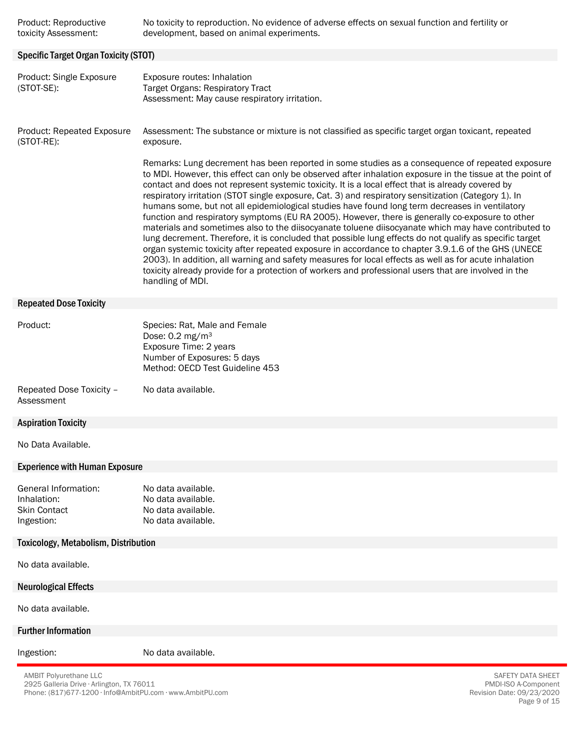| Product: Reproductive | No toxicity to reproduction. No evidence of adverse effects on sexual function and fertility or |
|-----------------------|-------------------------------------------------------------------------------------------------|
| toxicity Assessment:  | development, based on animal experiments.                                                       |

#### Specific Target Organ Toxicity (STOT)

Product: Single Exposure (STOT-SE): Exposure routes: Inhalation Target Organs: Respiratory Tract Assessment: May cause respiratory irritation.

Product: Repeated Exposure (STOT-RE): Assessment: The substance or mixture is not classified as specific target organ toxicant, repeated exposure.

> Remarks: Lung decrement has been reported in some studies as a consequence of repeated exposure to MDI. However, this effect can only be observed after inhalation exposure in the tissue at the point of contact and does not represent systemic toxicity. It is a local effect that is already covered by respiratory irritation (STOT single exposure, Cat. 3) and respiratory sensitization (Category 1). In humans some, but not all epidemiological studies have found long term decreases in ventilatory function and respiratory symptoms (EU RA 2005). However, there is generally co-exposure to other materials and sometimes also to the diisocyanate toluene diisocyanate which may have contributed to lung decrement. Therefore, it is concluded that possible lung effects do not qualify as specific target organ systemic toxicity after repeated exposure in accordance to chapter 3.9.1.6 of the GHS (UNECE 2003). In addition, all warning and safety measures for local effects as well as for acute inhalation toxicity already provide for a protection of workers and professional users that are involved in the handling of MDI.

#### Repeated Dose Toxicity

| Product: | Species: Rat, Male and Female   |
|----------|---------------------------------|
|          | Dose: $0.2 \text{ mg/m}^3$      |
|          | Exposure Time: 2 years          |
|          | Number of Exposures: 5 days     |
|          | Method: OECD Test Guideline 453 |
|          |                                 |

Repeated Dose Toxicity – Assessment No data available.

## Aspiration Toxicity

No Data Available.

#### Experience with Human Exposure

| General Information: | No data available. |
|----------------------|--------------------|
| Inhalation:          | No data available. |
| <b>Skin Contact</b>  | No data available. |
| Ingestion:           | No data available. |

#### Toxicology, Metabolism, Distribution

No data available.

Neurological Effects

No data available.

#### Further Information

Ingestion: No data available.

AMBIT Polyurethane LLC 2925 Galleria Drive ∙ Arlington, TX 76011 Phone: (817)677-1200 ∙ Info@AmbitPU.com ∙ www.AmbitPU.com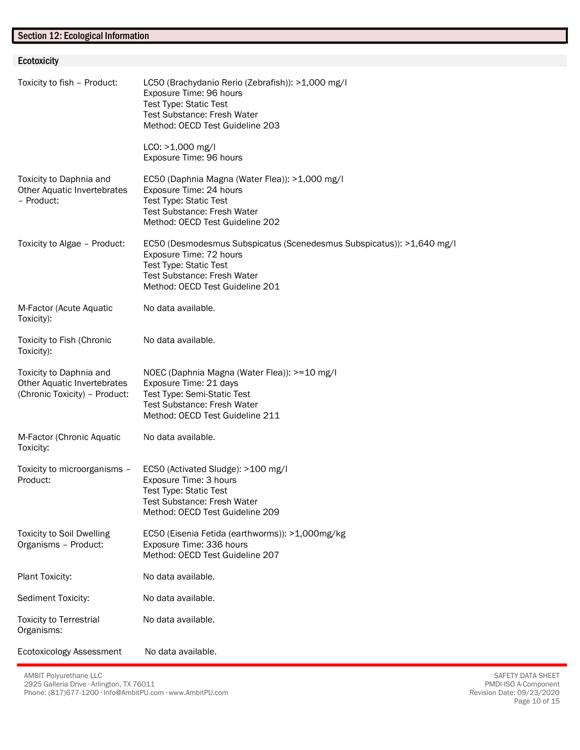# Section 12: Ecological Information

Ecotoxicity

| Ecotoxicity                                                                             |                                                                                                                                                                                                     |
|-----------------------------------------------------------------------------------------|-----------------------------------------------------------------------------------------------------------------------------------------------------------------------------------------------------|
| Toxicity to fish - Product:                                                             | LC50 (Brachydanio Rerio (Zebrafish)): >1,000 mg/l<br>Exposure Time: 96 hours<br>Test Type: Static Test<br><b>Test Substance: Fresh Water</b><br>Method: OECD Test Guideline 203                     |
|                                                                                         | LCO: >1,000 mg/l<br>Exposure Time: 96 hours                                                                                                                                                         |
| Toxicity to Daphnia and<br>Other Aquatic Invertebrates<br>- Product:                    | EC50 (Daphnia Magna (Water Flea)): >1,000 mg/l<br>Exposure Time: 24 hours<br>Test Type: Static Test<br><b>Test Substance: Fresh Water</b><br>Method: OECD Test Guideline 202                        |
| Toxicity to Algae - Product:                                                            | EC50 (Desmodesmus Subspicatus (Scenedesmus Subspicatus)): >1,640 mg/l<br>Exposure Time: 72 hours<br><b>Test Type: Static Test</b><br>Test Substance: Fresh Water<br>Method: OECD Test Guideline 201 |
| M-Factor (Acute Aquatic<br>Toxicity):                                                   | No data available.                                                                                                                                                                                  |
| Toxicity to Fish (Chronic<br>Toxicity):                                                 | No data available.                                                                                                                                                                                  |
| Toxicity to Daphnia and<br>Other Aquatic Invertebrates<br>(Chronic Toxicity) - Product: | NOEC (Daphnia Magna (Water Flea)): >=10 mg/l<br>Exposure Time: 21 days<br>Test Type: Semi-Static Test<br><b>Test Substance: Fresh Water</b><br>Method: OECD Test Guideline 211                      |
| M-Factor (Chronic Aquatic<br>Toxicity:                                                  | No data available.                                                                                                                                                                                  |
| Toxicity to microorganisms -<br>Product:                                                | EC50 (Activated Sludge): >100 mg/l<br>Exposure Time: 3 hours<br><b>Test Type: Static Test</b><br><b>Test Substance: Fresh Water</b><br>Method: OECD Test Guideline 209                              |
| <b>Toxicity to Soil Dwelling</b><br>Organisms - Product:                                | EC50 (Eisenia Fetida (earthworms)): >1,000mg/kg<br>Exposure Time: 336 hours<br>Method: OECD Test Guideline 207                                                                                      |
| Plant Toxicity:                                                                         | No data available.                                                                                                                                                                                  |
| Sediment Toxicity:                                                                      | No data available.                                                                                                                                                                                  |
| <b>Toxicity to Terrestrial</b><br>Organisms:                                            | No data available.                                                                                                                                                                                  |
| Ecotoxicology Assessment                                                                | No data available.                                                                                                                                                                                  |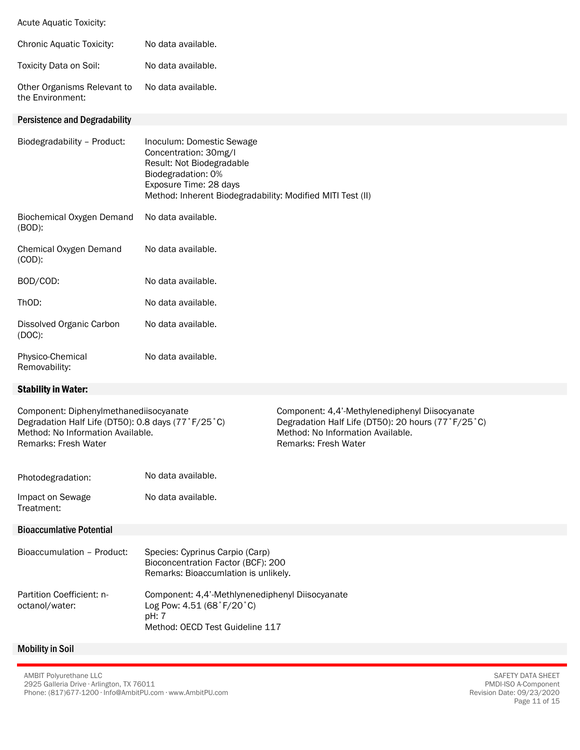Acute Aquatic Toxicity:

| Chronic Aquatic Toxicity:                       | No data available.                                                                                                                                                                            |
|-------------------------------------------------|-----------------------------------------------------------------------------------------------------------------------------------------------------------------------------------------------|
| Toxicity Data on Soil:                          | No data available.                                                                                                                                                                            |
| Other Organisms Relevant to<br>the Environment: | No data available.                                                                                                                                                                            |
| <b>Persistence and Degradability</b>            |                                                                                                                                                                                               |
| Biodegradability - Product:                     | Inoculum: Domestic Sewage<br>Concentration: 30mg/l<br>Result: Not Biodegradable<br>Biodegradation: 0%<br>Exposure Time: 28 days<br>Method: Inherent Biodegradability: Modified MITI Test (II) |
| Biochemical Oxygen Demand<br>$(BOD)$ :          | No data available.                                                                                                                                                                            |
| Chemical Oxygen Demand<br>$(COD)$ :             | No data available.                                                                                                                                                                            |
|                                                 |                                                                                                                                                                                               |

| BOD/COD:                              | No data available. |
|---------------------------------------|--------------------|
| ThOD:                                 | No data available. |
| Dissolved Organic Carbon<br>$(DOC)$ : | No data available. |
| Physico-Chemical<br>Removability:     | No data available. |

# Stability in Water:

| Component: Diphenylmethanediisocyanate<br>Degradation Half Life (DT50): 0.8 days (77°F/25°C)<br>Method: No Information Available.<br>Remarks: Fresh Water |                                                                                                                          | Component: 4,4'-Methylenediphenyl Diisocyanate<br>Degradation Half Life (DT50): 20 hours (77°F/25°C)<br>Method: No Information Available.<br>Remarks: Fresh Water |
|-----------------------------------------------------------------------------------------------------------------------------------------------------------|--------------------------------------------------------------------------------------------------------------------------|-------------------------------------------------------------------------------------------------------------------------------------------------------------------|
| Photodegradation:                                                                                                                                         | No data available.                                                                                                       |                                                                                                                                                                   |
| Impact on Sewage<br>Treatment:                                                                                                                            | No data available.                                                                                                       |                                                                                                                                                                   |
| <b>Bioaccumlative Potential</b>                                                                                                                           |                                                                                                                          |                                                                                                                                                                   |
| Bioaccumulation - Product:                                                                                                                                | Species: Cyprinus Carpio (Carp)<br>Bioconcentration Factor (BCF): 200<br>Remarks: Bioaccumlation is unlikely.            |                                                                                                                                                                   |
| Partition Coefficient: n-<br>octanol/water:                                                                                                               | Component: 4,4'-Methlynenediphenyl Diisocyanate<br>Log Pow: 4.51 (68°F/20°C)<br>pH: 7<br>Method: OECD Test Guideline 117 |                                                                                                                                                                   |
| <b>Mobility in Soil</b>                                                                                                                                   |                                                                                                                          |                                                                                                                                                                   |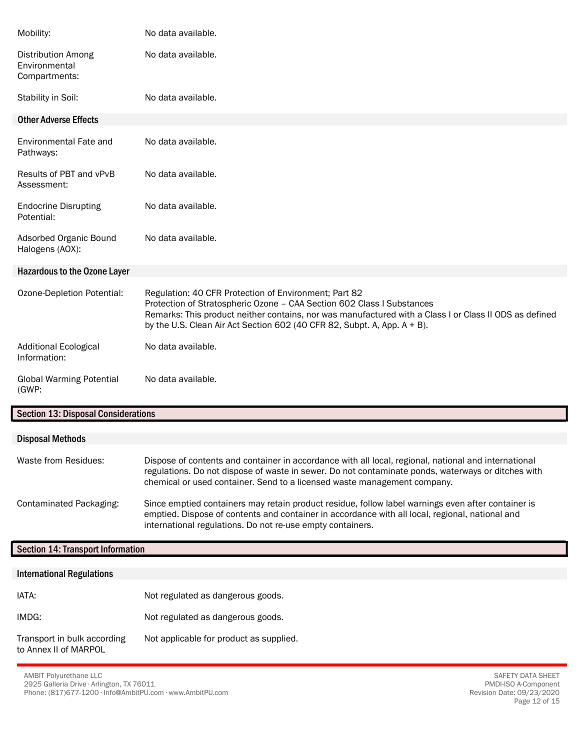| Mobility:                                                   | No data available.                                                                                                                                                                                                                                                                                                       |
|-------------------------------------------------------------|--------------------------------------------------------------------------------------------------------------------------------------------------------------------------------------------------------------------------------------------------------------------------------------------------------------------------|
| <b>Distribution Among</b><br>Environmental<br>Compartments: | No data available.                                                                                                                                                                                                                                                                                                       |
| Stability in Soil:                                          | No data available.                                                                                                                                                                                                                                                                                                       |
| <b>Other Adverse Effects</b>                                |                                                                                                                                                                                                                                                                                                                          |
| Environmental Fate and<br>Pathways:                         | No data available.                                                                                                                                                                                                                                                                                                       |
| Results of PBT and vPvB<br>Assessment:                      | No data available.                                                                                                                                                                                                                                                                                                       |
| <b>Endocrine Disrupting</b><br>Potential:                   | No data available.                                                                                                                                                                                                                                                                                                       |
| Adsorbed Organic Bound<br>Halogens (AOX):                   | No data available.                                                                                                                                                                                                                                                                                                       |
| <b>Hazardous to the Ozone Layer</b>                         |                                                                                                                                                                                                                                                                                                                          |
| Ozone-Depletion Potential:                                  | Regulation: 40 CFR Protection of Environment; Part 82<br>Protection of Stratospheric Ozone - CAA Section 602 Class I Substances<br>Remarks: This product neither contains, nor was manufactured with a Class I or Class II ODS as defined<br>by the U.S. Clean Air Act Section 602 (40 CFR 82, Subpt. A, App. $A + B$ ). |
| <b>Additional Ecological</b><br>Information:                | No data available.                                                                                                                                                                                                                                                                                                       |
| <b>Global Warming Potential</b><br>(GWP:                    | No data available.                                                                                                                                                                                                                                                                                                       |

# Section 13: Disposal Considerations

| <b>Disposal Methods</b> |                                                                                                                                                                                                                                                                                        |
|-------------------------|----------------------------------------------------------------------------------------------------------------------------------------------------------------------------------------------------------------------------------------------------------------------------------------|
|                         |                                                                                                                                                                                                                                                                                        |
| Waste from Residues:    | Dispose of contents and container in accordance with all local, regional, national and international<br>regulations. Do not dispose of waste in sewer. Do not contaminate ponds, waterways or ditches with<br>chemical or used container. Send to a licensed waste management company. |
| Contaminated Packaging: | Since emptied containers may retain product residue, follow label warnings even after container is<br>emptied. Dispose of contents and container in accordance with all local, regional, national and<br>international regulations. Do not re-use empty containers.                    |

# Section 14: Transport Information

| <b>International Regulations</b>                     |                                         |
|------------------------------------------------------|-----------------------------------------|
| IATA:                                                | Not regulated as dangerous goods.       |
| IMDG:                                                | Not regulated as dangerous goods.       |
| Transport in bulk according<br>to Annex II of MARPOL | Not applicable for product as supplied. |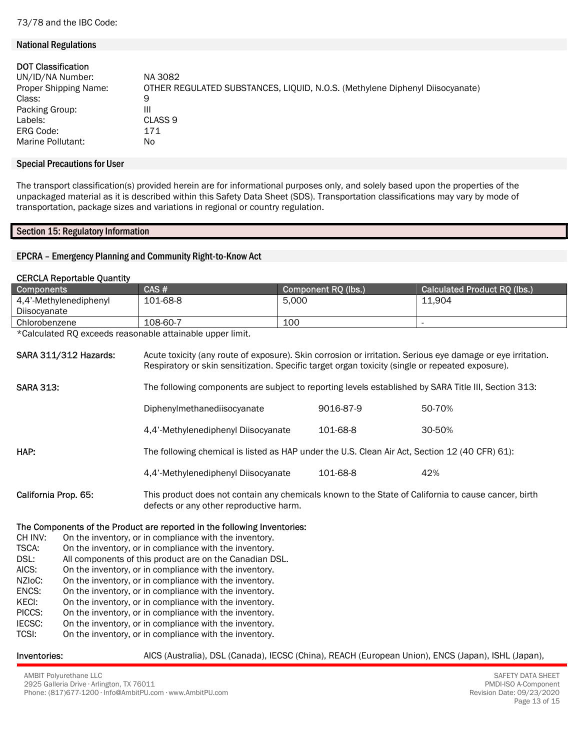### National Regulations

| <b>DOT Classification</b> |                                                                              |
|---------------------------|------------------------------------------------------------------------------|
| UN/ID/NA Number:          | NA 3082                                                                      |
| Proper Shipping Name:     | OTHER REGULATED SUBSTANCES, LIQUID, N.O.S. (Methylene Diphenyl Diisocyanate) |
| Class:                    | 9                                                                            |
| Packing Group:            | Ш                                                                            |
| Labels:                   | CLASS <sub>9</sub>                                                           |
| ERG Code:                 | 171                                                                          |
| Marine Pollutant:         | No                                                                           |

#### Special Precautions for User

The transport classification(s) provided herein are for informational purposes only, and solely based upon the properties of the unpackaged material as it is described within this Safety Data Sheet (SDS). Transportation classifications may vary by mode of transportation, package sizes and variations in regional or country regulation.

## Section 15: Regulatory Information

## EPCRA – Emergency Planning and Community Right-to-Know Act

## CERCLA Reportable Quantity

| <b>Components</b>                                                        |                                                        | CAS#                                                                                                                                                                                                            |       | Component RQ (lbs.) | <b>Calculated Product RQ (lbs.)</b> |
|--------------------------------------------------------------------------|--------------------------------------------------------|-----------------------------------------------------------------------------------------------------------------------------------------------------------------------------------------------------------------|-------|---------------------|-------------------------------------|
| 4,4'-Methylenediphenyl                                                   |                                                        | 101-68-8                                                                                                                                                                                                        | 5.000 |                     | 11,904                              |
| Diisocyanate                                                             |                                                        |                                                                                                                                                                                                                 |       |                     |                                     |
| Chlorobenzene                                                            |                                                        | 108-60-7                                                                                                                                                                                                        | 100   |                     | $\blacksquare$                      |
| *Calculated RQ exceeds reasonable attainable upper limit.                |                                                        |                                                                                                                                                                                                                 |       |                     |                                     |
| <b>SARA 311/312 Hazards:</b>                                             |                                                        | Acute toxicity (any route of exposure). Skin corrosion or irritation. Serious eye damage or eye irritation.<br>Respiratory or skin sensitization. Specific target organ toxicity (single or repeated exposure). |       |                     |                                     |
| <b>SARA 313:</b>                                                         |                                                        | The following components are subject to reporting levels established by SARA Title III, Section 313:                                                                                                            |       |                     |                                     |
|                                                                          |                                                        | Diphenylmethanediisocyanate                                                                                                                                                                                     |       | 9016-87-9           | 50-70%                              |
|                                                                          |                                                        | 4,4'-Methylenediphenyl Diisocyanate                                                                                                                                                                             |       | 101-68-8            | 30-50%                              |
| HAP:                                                                     |                                                        | The following chemical is listed as HAP under the U.S. Clean Air Act, Section 12 (40 CFR) 61):                                                                                                                  |       |                     |                                     |
|                                                                          |                                                        | 4,4'-Methylenediphenyl Diisocyanate                                                                                                                                                                             |       | 101-68-8            | 42%                                 |
| California Prop. 65:                                                     |                                                        | This product does not contain any chemicals known to the State of California to cause cancer, birth<br>defects or any other reproductive harm.                                                                  |       |                     |                                     |
| The Components of the Product are reported in the following Inventories: |                                                        |                                                                                                                                                                                                                 |       |                     |                                     |
| CH INV:                                                                  | On the inventory, or in compliance with the inventory. |                                                                                                                                                                                                                 |       |                     |                                     |
| TSCA:                                                                    |                                                        | On the inventory, or in compliance with the inventory.                                                                                                                                                          |       |                     |                                     |
| DSL:<br>All components of this product are on the Canadian DSL.          |                                                        |                                                                                                                                                                                                                 |       |                     |                                     |
| AICS:                                                                    | On the inventory, or in compliance with the inventory. |                                                                                                                                                                                                                 |       |                     |                                     |
| NZI <sub>O</sub> C:                                                      | On the inventory, or in compliance with the inventory. |                                                                                                                                                                                                                 |       |                     |                                     |
| ENCS:                                                                    | On the inventory, or in compliance with the inventory. |                                                                                                                                                                                                                 |       |                     |                                     |

- KECI: On the inventory, or in compliance with the inventory.
- PICCS: On the inventory, or in compliance with the inventory.
- IECSC: On the inventory, or in compliance with the inventory.
- TCSI: On the inventory, or in compliance with the inventory.
- 
- Inventories: AICS (Australia), DSL (Canada), IECSC (China), REACH (European Union), ENCS (Japan), ISHL (Japan),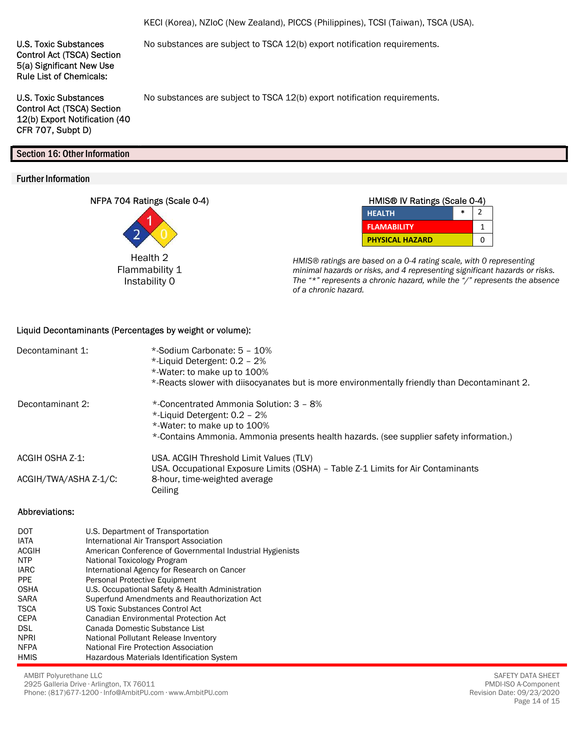KECI (Korea), NZIoC (New Zealand), PICCS (Philippines), TCSI (Taiwan), TSCA (USA).

No substances are subject to TSCA 12(b) export notification requirements.

No substances are subject to TSCA 12(b) export notification requirements.

U.S. Toxic Substances Control Act (TSCA) Section 5(a) Significant New Use Rule List of Chemicals:

U.S. Toxic Substances Control Act (TSCA) Section 12(b) Export Notification (40 CFR 707, Subpt D)

# Section 16: Other Information

# Further Information

NFPA 704 Ratings (Scale 0-4)



| HMIS® IV Ratings (Scale 0-4) |  |   |
|------------------------------|--|---|
| <b>HEALTH</b>                |  |   |
| <b>FLAMABILITY</b>           |  |   |
| <b>PHYSICAL HAZARD</b>       |  | ŋ |

HMIS® ratings are based on a 0-4 rating scale, with 0 representing minimal hazards or risks, and 4 representing significant hazards or risks. The "\*" represents a chronic hazard, while the  $\frac{y}{r}$ " represents the absence of a chronic hazard.

## Liquid Decontaminants (Percentages by weight or volume):

| Decontaminant 1:      | *-Sodium Carbonate: 5 - 10%<br>*-Liquid Detergent: $0.2 - 2\%$<br>*-Water: to make up to 100%<br>*-Reacts slower with diisocyanates but is more environmentally friendly than Decontaminant 2.    |
|-----------------------|---------------------------------------------------------------------------------------------------------------------------------------------------------------------------------------------------|
| Decontaminant 2:      | *-Concentrated Ammonia Solution: 3 - 8%<br>*-Liquid Detergent: 0.2 - 2%<br>*-Water: to make up to 100%<br>*-Contains Ammonia. Ammonia presents health hazards. (see supplier safety information.) |
| ACGIH OSHA Z-1:       | USA. ACGIH Threshold Limit Values (TLV)                                                                                                                                                           |
|                       | USA. Occupational Exposure Limits (OSHA) - Table Z-1 Limits for Air Contaminants                                                                                                                  |
| ACGIH/TWA/ASHA Z-1/C: | 8-hour, time-weighted average<br>Ceiling                                                                                                                                                          |

### Abbreviations:

| <b>DOT</b>  | U.S. Department of Transportation                         |
|-------------|-----------------------------------------------------------|
| <b>IATA</b> | International Air Transport Association                   |
| ACGIH       | American Conference of Governmental Industrial Hygienists |
| <b>NTP</b>  | National Toxicology Program                               |
| IARC        | International Agency for Research on Cancer               |
| <b>PPE</b>  | Personal Protective Equipment                             |
| <b>OSHA</b> | U.S. Occupational Safety & Health Administration          |
| <b>SARA</b> | Superfund Amendments and Reauthorization Act              |
| <b>TSCA</b> | US Toxic Substances Control Act                           |
| <b>CEPA</b> | Canadian Environmental Protection Act                     |
| <b>DSL</b>  | Canada Domestic Substance List                            |
| <b>NPRI</b> | National Pollutant Release Inventory                      |
| <b>NFPA</b> | National Fire Protection Association                      |
| <b>HMIS</b> | <b>Hazardous Materials Identification System</b>          |

AMBIT Polyurethane LLC 2925 Galleria Drive ∙ Arlington, TX 76011 Phone: (817)677-1200 ∙ Info@AmbitPU.com ∙ www.AmbitPU.com

SAFETY DATA SHEET PMDI-ISO A-Component Revision Date: 09/23/2020 Page 14 of 15